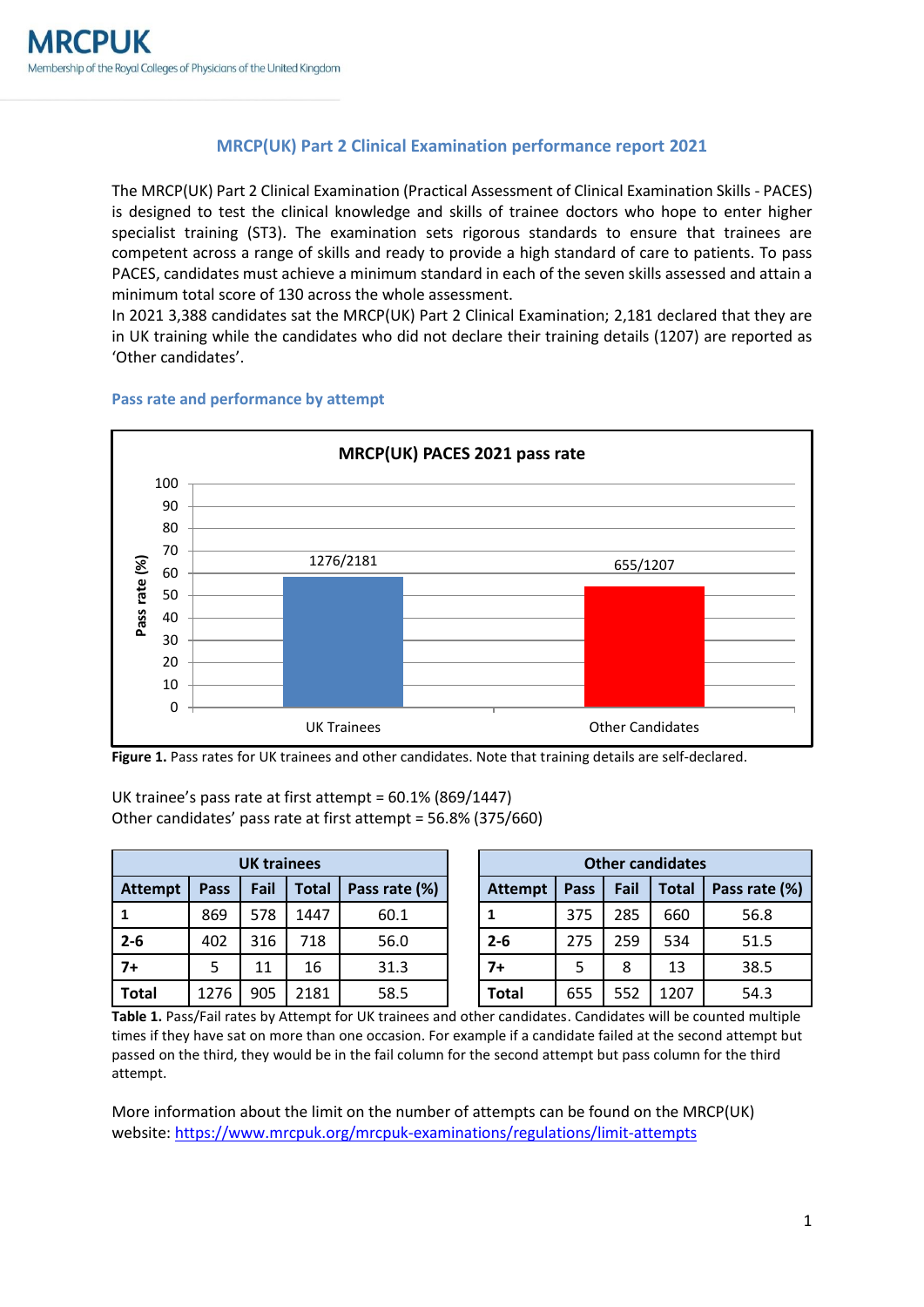# **MRCP(UK) Part 2 Clinical Examination performance report 2021**

The MRCP(UK) Part 2 Clinical Examination (Practical Assessment of Clinical Examination Skills - PACES) is designed to test the clinical knowledge and skills of trainee doctors who hope to enter higher specialist training (ST3). The examination sets rigorous standards to ensure that trainees are competent across a range of skills and ready to provide a high standard of care to patients. To pass PACES, candidates must achieve a minimum standard in each of the seven skills assessed and attain a minimum total score of 130 across the whole assessment.

In 2021 3,388 candidates sat the MRCP(UK) Part 2 Clinical Examination; 2,181 declared that they are in UK training while the candidates who did not declare their training details (1207) are reported as 'Other candidates'.



#### **Pass rate and performance by attempt**

**Figure 1.** Pass rates for UK trainees and other candidates. Note that training details are self-declared.

# UK trainee's pass rate at first attempt = 60.1% (869/1447) Other candidates' pass rate at first attempt = 56.8% (375/660)

| <b>UK trainees</b> |      |      |       |               | <b>Other candidates</b> |      |      |              |               |
|--------------------|------|------|-------|---------------|-------------------------|------|------|--------------|---------------|
| <b>Attempt</b>     | Pass | Fail | Total | Pass rate (%) | <b>Attempt</b>          | Pass | Fail | <b>Total</b> | Pass rate (%) |
|                    | 869  | 578  | 1447  | 60.1          |                         | 375  | 285  | 660          | 56.8          |
| $2 - 6$            | 402  | 316  | 718   | 56.0          | $2 - 6$                 | 275  | 259  | 534          | 51.5          |
| $7+$               |      | 11   | 16    | 31.3          | $7+$                    | 5    | 8    | 13           | 38.5          |
| <b>Total</b>       | 1276 | 905  | 2181  | 58.5          | <b>Total</b>            | 655  | 552  | 1207         | 54.3          |

**Table 1.** Pass/Fail rates by Attempt for UK trainees and other candidates. Candidates will be counted multiple times if they have sat on more than one occasion. For example if a candidate failed at the second attempt but passed on the third, they would be in the fail column for the second attempt but pass column for the third attempt.

More information about the limit on the number of attempts can be found on the MRCP(UK) website: <https://www.mrcpuk.org/mrcpuk-examinations/regulations/limit-attempts>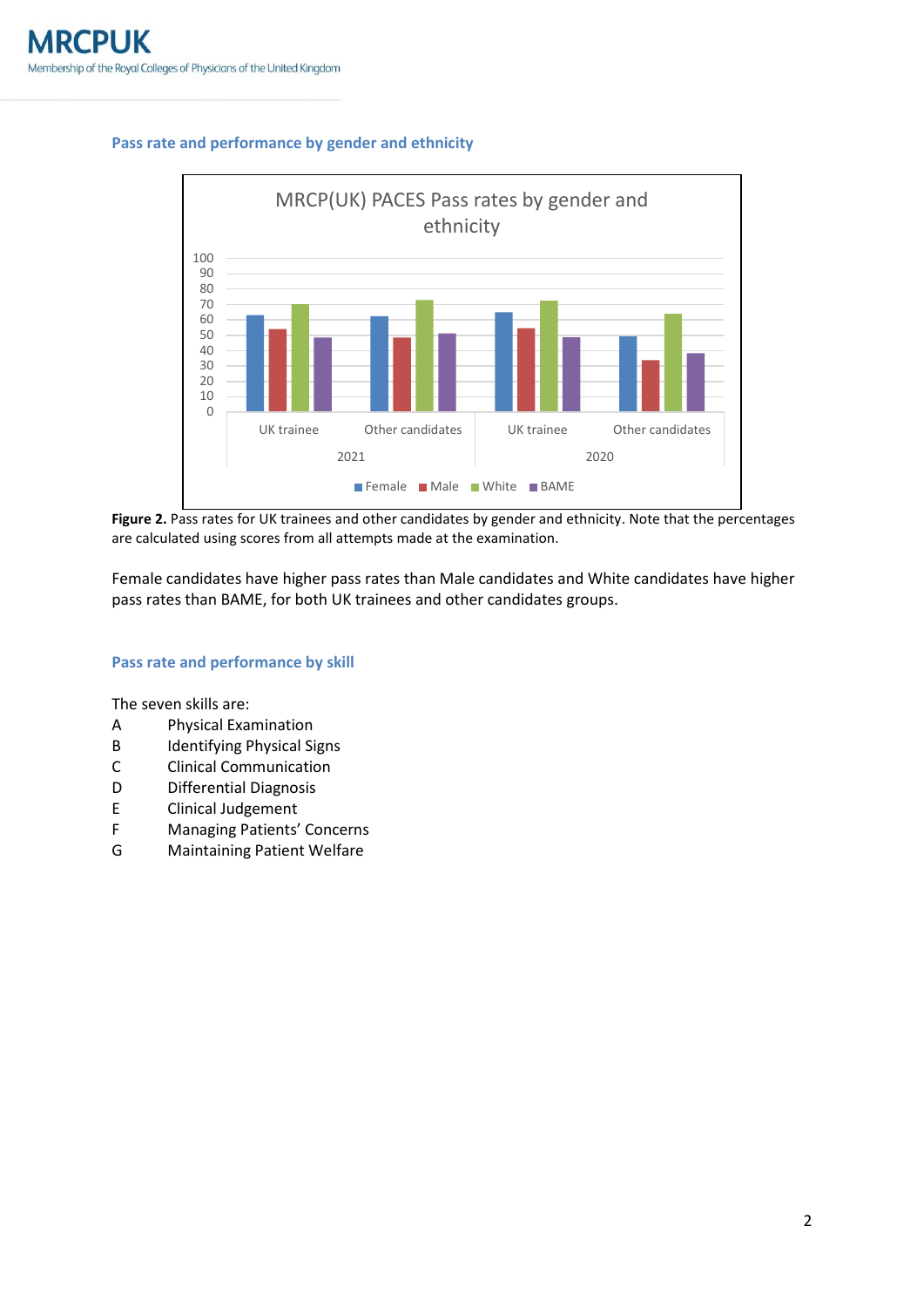# **Pass rate and performance by gender and ethnicity**



**Figure 2.** Pass rates for UK trainees and other candidates by gender and ethnicity. Note that the percentages are calculated using scores from all attempts made at the examination.

Female candidates have higher pass rates than Male candidates and White candidates have higher pass rates than BAME, for both UK trainees and other candidates groups.

### **Pass rate and performance by skill**

The seven skills are:

- A Physical Examination
- B Identifying Physical Signs
- C Clinical Communication
- D Differential Diagnosis
- E Clinical Judgement
- F Managing Patients' Concerns
- G Maintaining Patient Welfare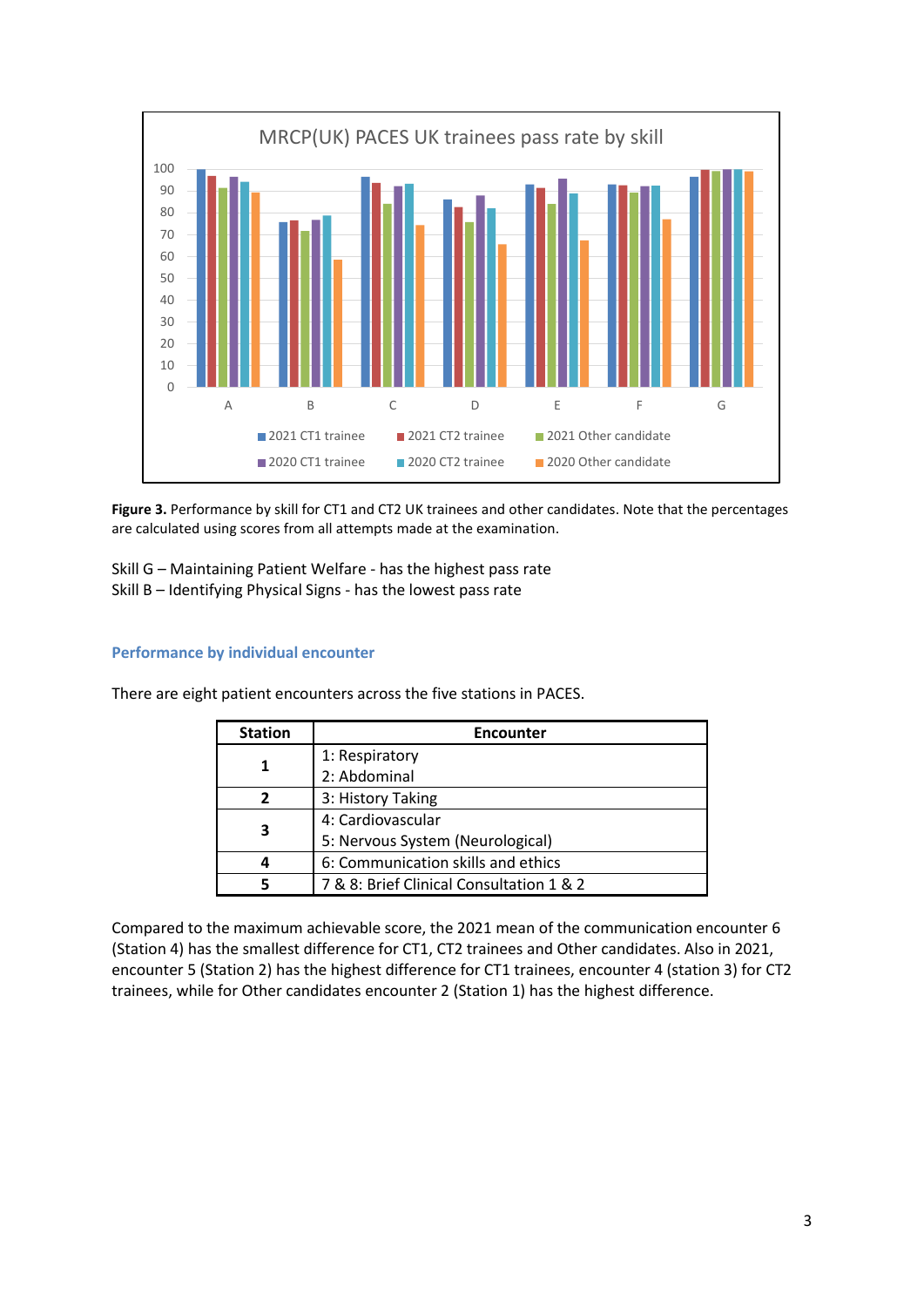

**Figure 3.** Performance by skill for CT1 and CT2 UK trainees and other candidates. Note that the percentages are calculated using scores from all attempts made at the examination.

Skill G – Maintaining Patient Welfare - has the highest pass rate Skill B – Identifying Physical Signs - has the lowest pass rate

# **Performance by individual encounter**

| <b>Station</b> | <b>Encounter</b>                         |  |  |  |  |
|----------------|------------------------------------------|--|--|--|--|
|                | 1: Respiratory                           |  |  |  |  |
|                | 2: Abdominal                             |  |  |  |  |
|                | 3: History Taking                        |  |  |  |  |
|                | 4: Cardiovascular                        |  |  |  |  |
|                | 5: Nervous System (Neurological)         |  |  |  |  |
|                | 6: Communication skills and ethics       |  |  |  |  |
|                | 7 & 8: Brief Clinical Consultation 1 & 2 |  |  |  |  |

There are eight patient encounters across the five stations in PACES.

Compared to the maximum achievable score, the 2021 mean of the communication encounter 6 (Station 4) has the smallest difference for CT1, CT2 trainees and Other candidates. Also in 2021, encounter 5 (Station 2) has the highest difference for CT1 trainees, encounter 4 (station 3) for CT2 trainees, while for Other candidates encounter 2 (Station 1) has the highest difference.